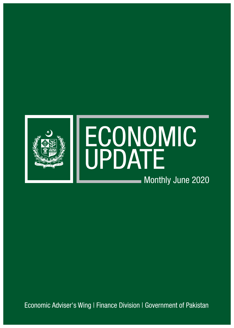

Economic Adviser's Wing | Finance Division | Government of Pakistan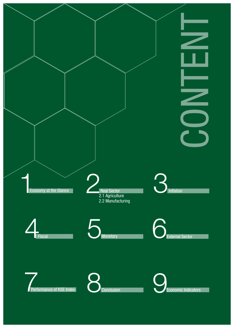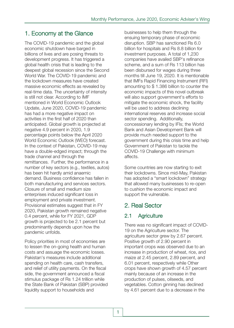# 1. Economy at the Glance

The COVID-19 pandemic and the global economic shutdown have barged in billions of lives and are posing threats to development progress. It has triggered a global health crisis that is leading to the deepest global recession since the Second World War. The COVID-19 pandemic and the lockdown measures have created massive economic effects as revealed by real-time data. The uncertainty of intensity is still not clear. According to IMF mentioned in World Economic Outlook Update, June 2020, COVID-19 pandemic has had a more negative impact on activities in the first half of 2020 than anticipated. Global growth is projected at negative 4.9 percent in 2020, 1.9 percentage points below the April 2020 World Economic Outlook (WEO) forecast. In the context of Pakistan, COVID-19 may have a double-edged impact; through the trade channel and through the remittances. Further, the performance in a number of key sectors (e.g., textiles, autos) has been hit hardly amid anaemic demand. Business confidence has fallen in both manufacturing and services sectors. Closure of small and medium size enterprises induced significant loss in employment and private investment. Provisional estimates suggest that in FY 2020, Pakistan growth remained negative 0.4 percent, while for FY 2021, GDP growth is projected to be 2.1 percent but predominantly depends upon how the pandemic unfolds.

Policy priorities in most of economies are to lessen the on-going health and human costs and assuage the economic losses. Pakistan's measures include additional spending on health care, cash transfers, and relief of utility payments. On the fiscal side, the government announced a fiscal stimulus package of Rs 1.24 trillion while the State Bank of Pakistan (SBP) provided liquidity support to households and

businesses to help them through the ensuing temporary phase of economic disruption. SBP has sanctioned Rs 6.0 billion for hospitals and Rs 8.8 billion for investment purposes. A total of 1,230 companies have availed SBP's refinance scheme, and a sum of Rs 113 billion has been disbursed for wages during three months till June 19, 2020. It is mentionable that IMFs Rapid Financing Instrument (RFI) amounting to \$ 1.386 billion to counter the economic impacts of this novel outbreak will also support government's efforts to mitigate the economic shock, the facility will be used to address declining international reserves and increase social sector spending. Additionally, concessionary lending by IFIs; the World Bank and Asian Development Bank will provide much needed support to the government during this crisis time and help Government of Pakistan to tackle the COVID-19 Challenge with minimum affects.

Some countries are now starting to exit their lockdowns. Since mid-May, Pakistan has adopted a "smart lockdown" strategy that allowed many businesses to re-open to cushion the economic impact and support the vulnerable.

# 2. Real Sector

## 2.1 Agriculture

There was no significant impact of COVID-19 on the Agriculture sector. The agriculture sector grew by 2.67 percent. Positive growth of 2.90 percent in important crops was observed due to an increase in production of wheat, rice, and maize at 2.45 percent, 2.89 percent, and 6.01 percent, respectively while Other crops have shown growth of 4.57 percent mainly because of an increase in the production of pulses, oilseeds, and vegetables. Cotton ginning has declined by 4.61 percent due to a decrease in the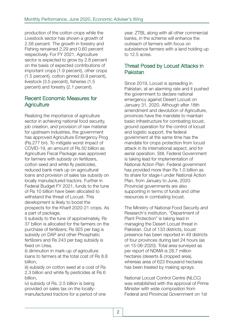production of the cotton crops while the Livestock sector has shown a growth of 2.58 percent. The growth in forestry and Fishing remained 2.29 and 0.60 percent respectively. For FY 2021, Agriculture sector is expected to grow by 2.8 percent on the basis of expected contributions of important crops (1.9 percent), other crops (1.5 percent), cotton ginned (0.9 percent), livestock (3.5 percent), fisheries (1.5 percent) and forestry (2.1 percent).

#### Recent Economic Measures for **Agriculture**

Realizing the importance of agriculture sector in achieving national food security, job creation, and provision of raw material for upstream industries, the government has approved Agriculture Emergency Prog (Rs.277 bn). To mitigate worst impact of COVID-19, an amount of Rs.50 billion as Agriculture Fiscal Package was approved for farmers with subsidy on fertilizers, cotton seed and white fly pesticides, reduced bank mark up on agricultural loans and provision of sales tax subsidy on locally manufactured tractors. Further in Federal Budget FY 2021, funds to the tune of Rs 10 billion have been allocated to withstand the threat of Locust. This development is likely to boost the prospects for the Kharif 2020-21 crops. As a part of package,

I) subsidy to the tune of approximately, Rs 37 billion is allocated for the farmers on the purchase of fertilizers; Rs 925 per bag is subsidy on DAP and other Phosphatic fertilizers and Rs 243 per bag subsidy is fixed on Urea,

ii) diminution in mark-up of agriculture loans to farmers at the total cost of Rs 8.8 billion,

iii) subsidy on cotton seed at a cost of Rs 2.3 billion and white fly pesticides at Rs 6 billion,

iv) subsidy of Rs. 2.5 billion is being provided on sales tax on the locallymanufactured tractors for a period of one year. ZTBL along with all other commercial banks, in the scheme will enhance the outreach of farmers with focus on subsistence farmers with a land holding up to 12.5 acres.

#### Threat Posed by Locust Attacks in Pakistan

Since 2019, Locust is spreading in Pakistan, at an alarming rate and it pushed the government to declare national emergency against Desert Locust on January 31, 2020. Although after 18th amendment and devolution of Agriculture, provinces have the mandate to maintain basic infrastructure for combating locust, ground operation for the control of locust and logistic support, the federal government at the same time has the mandate for crops protection from locust attack in its international aspect, and for aerial operation. Still, Federal Government is taking lead for implementation of National Action Plan. Federal government has provided more than Rs 1.0 billion as its share for stage-I under National Action Plan, from January to June, 2020. Provincial governments are also supporting in terms of funds and other resources in combating locust.

The Ministry of National Food Security and Research's institution, "Department of Plant Protection" is taking lead in managing the Desert Locust threat in Pakistan. Out of 133 districts, locust presence has been reported in 49 districts of four provinces during last 24 hours (as on 15-06-2020). Total area surveyed as per report of NDMA is 28.7 million hectares (deserts & cropped area), whereas area of 623 thousand hectares has been treated by making sprays.

National Locust Control Centre (NLCC) was established with the approval of Prime Minister with wide composition from Federal and Provincial Government on 1st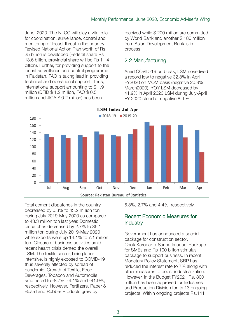June, 2020. The NLCC will play a vital role for coordination, surveillance, control and monitoring of locust threat in the country. Revised National Action Plan worth of Rs 25 billion is developed (Federal share Rs 13.6 billion, provincial share will be Rs 11.4 billion). Further, for providing support to the locust surveillance and control programme in Pakistan, FAO is taking lead in providing technical and operational support. Thus, international support amounting to \$ 1.9 million (DFID \$ 1.2 million, FAO \$ 0.5 million and JICA \$ 0.2 million) has been

received while \$ 200 million are committed by World Bank and another \$ 180 million from Asian Development Bank is in process.

### 2.2 Manufacturing

Amid COVID-19 outbreak, LSM nosedived a record low to negative 32.8% in April FY2020 on MOM basis (negative 20.9% March2020). YOY LSM decreased by 41.9% in April 2020 LSM during July-April FY 2020 stood at negative 8.9 %.



Total cement dispatches in the country decreased by 0.3% to 43.2 million ton during July 2019-May 2020 as compared to 43.3 million ton last year. Domestic dispatches decreased by 2.7% to 36.1 million ton during July 2019-May 2020 while exports were up 14.1% to 7.1 million ton. Closure of business activities amid recent health crisis dented the overall LSM. The textile sector, being labor intensive, is highly exposed to COVID-19 thus severely affected by spread of pandemic. Growth of Textile, Food Beverages, Tobacco and Automobile smothered to -8.7%, -4.1% and -41.9%, respectively. However, Fertilizers, Paper & Board and Rubber Products grew by

5.8%, 2.7% and 4.4%, respectively.

#### Recent Economic Measures for Industry

Government has announced a special package for construction sector, ChotaKarobar-o-SannatImadadi Package for SMEs and Rs 100 billion stimulus package to support business. In recent Monetary Policy Statement, SBP has reduced the interest rate to 7% along with other measures to boost industrialization. However, in the Budget FY2021 Rs. 800 million has been approved for Industries and Production Division for its 13 ongoing projects. Within ongoing projects Rs.141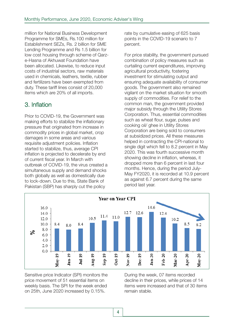million for National Business Development Programme for SMEs, Rs.100 million for Establishment SEZs, Rs. 2 billion for SME Lending Programme and Rs 1.5 billion for low cost housing through scheme of Qarze-Hasna of Akhuwat Foundation have been allocated. Likewise, to reduce input costs of industrial sectors, raw materials used in chemicals, leathers, textile, rubber and fertilizers have been exempted from duty. These tariff lines consist of 20,000 items which are 20% of all imports.

# 3. Inflation

Prior to COVID-19, the Government was making efforts to stabilize the inflationary pressure that originated from increase in commodity prices in global market, crop damages in some areas and various requisite adjustment policies. Inflation started to stabilize, thus, average CPI inflation is projected to decelerate by end of current fiscal year. In March with outbreak of COVID-19, the virus created a simultaneous supply and demand shocks both globally as well as domestically due to lock-down. Due to this, State Bank of Pakistan (SBP) has sharply cut the policy

rate by cumulative easing of 625 basis points in the COVID-19 scenario to 7 percent.

For price stability, the government pursued combination of policy measures such as curtailing current expenditures, improving agricultural productivity, fostering investment for stimulating output and ensuring adequate availability of consumer goods. The government also remained vigilant on the market situation for smooth supply of commodities. For relief to the common man, the government provided major subsidy through the Utility Stores Corporation. Thus, essential commodities such as wheat flour, sugar, pulses and cooking oil/ ghee in Utility Stores Corporation are being sold to consumers at subsidized prices. All these measures helped in contracting the CPI-national to single digit which fell to 8.2 percent in May 2020. This was fourth successive month showing decline in inflation, whereas, it dropped more than 6 percent in last four months. Hence, during the period July-May FY2020, it is recorded at 10.9 percent as against 6.7 percent during the same period last year.



Sensitive price Indicator (SPI) monitors the price movement of 51 essential items on weekly basis. The SPI for the week ended on 25th, June 2020 increased by 0.15%.

During the week, 07 items recorded decline in their prices, while prices of 14 items were increased and that of 30 items remain stable.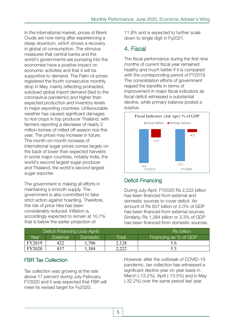In the international market, prices of Brent Crude are now rising after experiencing a steep downturn, which shows a recovery in global oil consumption. The stimulus measures that central banks and the world's governments are pumping into the economies have a positive impact on economic activities and that it will be supportive to demand. The Palm oil prices registered the fourth consecutive monthly drop in May, mainly reflecting protracted, subdued global import demand (tied to the coronavirus pandemic) and higher than expected production and inventory levels in major exporting countries. Unfavourable weather has caused significant damages to rice crops in top producer Thailand, with farmers reporting a decrease of nearly 2 million tonnes of milled off-season rice this year. The prices may increase in future. The month-on-month increase of international sugar prices comes largely on the back of lower than expected harvests in some major countries, notably India, the world's second largest sugar producer and Thailand, the world's second largest sugar exporter.

The government is making all efforts in maintaining a smooth supply. The government is also committed to take strict action against hoarding. Therefore, the risk of price hike has been considerably reduced. Inflation is, accordingly expected to remain at 10.7% that is below the earlier projection of

11.8% and is expected to further scale down to single digit in Fy2021.

# 4. Fiscal

The fiscal performance during the first nine months of current fiscal year remained healthy and much better if it is compared with the corresponding period of FY2019. The consolidation efforts of government reaped the benefits in terms of improvement in major fiscal indicators as fiscal deficit witnessed a substantial decline, while primary balance posted a surplus.



## Deficit Financing

During July-April, FY2020 Rs 2,222 billion has been financed from external and domestic sources to cover deficit. An amount of Rs 837 billion or 2.0% of GDP has been financed from external sources. Similarly, Rs 1,384 billion or 3.3% of GDP has been financed from domestic sources.

| Deficit Financing (July-April) |          |                 |       | <b>Rs billion</b>     |  |
|--------------------------------|----------|-----------------|-------|-----------------------|--|
| Year                           | External | <b>Domestic</b> | Total | Financing as % of GDP |  |
| FY2019                         | 422      | .706            | 2,128 | 5.6                   |  |
| FY2020                         | 837      | .384            | 2,222 |                       |  |

### FBR Tax Collection

Tax collection was growing at the rate above 17 percent during July-February, FY2020 and it was expected that FBR will meet its revised target for Fy2020.

However, after the outbreak of COVID-19 pandemic, tax collection has witnessed a significant decline year on year basis in March (-13.2%), April (-13.5%) and in May (-32.2%) over the same period last year.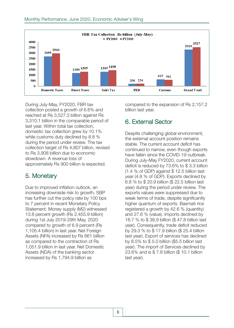

During July-May, FY2020, FBR tax collection posted a growth of 6.6% and reached at Rs 3,527.3 billion against Rs 3,310.1 billion in the comparable period of last year. Within total tax collection, domestic tax collection grew by 10.1% while customs duty declined by 8.8 % during the period under review. The tax collection target of Rs 4,807 billion, revised to Rs 3,908 billion due to economic slowdown. A revenue loss of approximately Rs 900 billion is expected.

## 5. Monetary

Due to improved inflation outlook, an increasing downside risk to growth, SBP has further cut the policy rate by 100 bps to 7 percent in recent Monetary Policy Statement. Money supply (M2) witnessed 13.8 percent growth (Rs 2,455.9 billion) during 1st July 2019-29th May, 2020 compared to growth of 6.9 percent (Rs 1,105.4 billion) in last year. Net Foreign Assets (NFA) increased by Rs 661 billion as compared to the contraction of Rs 1,051.9 billion in last year. Net Domestic Assets (NDA) of the banking sector increased by Rs 1,794.9 billion as

compared to the expansion of Rs 2,157.2 billion last year.

# 6. External Sector

Despite challenging global environment, the external account position remains stable. The current account deficit has continued to narrow, even though exports have fallen since the COVID-19 outbreak. During July-May FY2020, current account deficit is reduced by 73.6% to \$ 3.3 billion (1.4 % of GDP) against \$ 12.5 billion last year (4.8 % of GDP). Exports declined by 6.8 % to \$ 20.9 billion (\$ 22.5 billion last year) during the period under review. The exports values were suppressed due to weak terms of trade, despite significantly higher quantum of exports. Basmati rice registered a growth by 42.6 % (quantity) and 27.6 % (value). Imports declined by 18.7 % to \$ 38.9 billion (\$ 47.8 billion last year). Consequently, trade deficit reduced by 29.3 % to \$ 17.9 billion (\$ 25.4 billion last year). Export of services has declined by 8.5% to \$ 5.0 billion (\$5.5 billion last year). The import of Services declined by 23.6% and is \$ 7.8 billion (\$ 10.1 billion last year).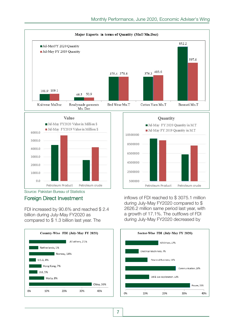

500000

Petroleum Product Petroleum crude Source: Pakistan Bureau of Statistics

## Foreign Direct Investment

 $0.0$ 

FDI increased by 90.6% and reached \$ 2.4 billion during July-May FY2020 as compared to \$ 1.3 billion last year. The



inflows of FDI reached to \$ 3075.1 million during July-May FY2020 compared to \$ 2626.2 million same period last year, with a growth of 17.1%. The outflows of FDI during July-May FY2020 decreased by

Petroleum crude

Petroleum Product

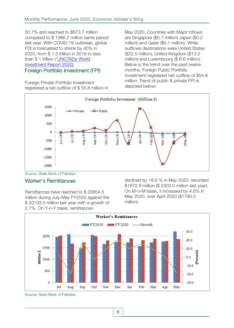50.7% and reached to \$673.7 million compared to \$ 1366.2 million same period last year. With COVID-19 outbreak, global FDI is forecasted to shrink by 40% in 2020, from \$ 1.5 trillion in 2019 to less than \$1 trillion ('UNCTADs World investment Report 2020). Foreign Portfolio Investment (FPI)

Foreign Private Portfolio Investment registered a net outflow of \$ 55.8 million in May 2020. Countries with Major inflows are Singapore (\$0.7 million) Japan (\$0.2 million) and Qatar (\$0.1 million). While outflows destinations were United States (\$22.5 million), United Kingdom (\$13.0 million) and Luxembourg (\$ 6.6 million). Below is the trend over the past twelve months. Foreign Public Portfolio Investment registered net outflow of \$54.8 million. Trend of public & private FPI is depicted below:



Source: State Bank of Pakistan

#### Worker's Remittances

Remittances have reached to \$ 20654.5 million during July-May FY2020 against the \$ 20103.0 million last year with a growth of 2.7%. On Y-o-Y basis, remittances

declined by 18.6 % in May 2020, recorded \$1872.9 million (\$ 2302.0 million last year). On M-o-M basis, it increased by 4.6% in May 2020, over April 2020 (\$1790.0 million).



Source: State Bank of Pakistan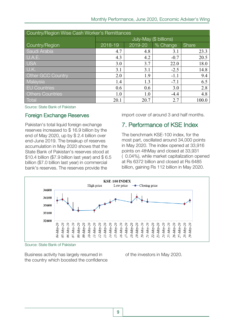| Country/Region Wise Cash Worker's Remittances |                        |         |          |       |  |  |
|-----------------------------------------------|------------------------|---------|----------|-------|--|--|
|                                               | July-May (\$ billions) |         |          |       |  |  |
| Country/Region                                | 2018-19                | 2019-20 | % Change | Share |  |  |
| Saudi Arabia                                  | 4.7                    | 4.8     | 3.1      | 23.3  |  |  |
| U.A.E.                                        | 4.3                    | 4.2     | $-0.7$   | 20.5  |  |  |
| <b>USA</b>                                    | 3.0                    | 3.7     | 22.0     | 18.0  |  |  |
| U.K.                                          | 3.1                    | 3.1     | $-2.5$   | 14.8  |  |  |
| <b>Other GCC Country</b>                      | 2.0                    | 1.9     | $-1.1$   | 9.4   |  |  |
| Malaysia                                      | 1.4                    | 1.3     | $-7.1$   | 6.5   |  |  |
| <b>EU Countries</b>                           | 0.6                    | 0.6     | 3.0      | 2.8   |  |  |
| <b>Others Countries</b>                       | 1.0                    | 1.0     | $-4.4$   | 4.8   |  |  |
| Total                                         | 20.1                   | 20.7    | 2.7      | 100.0 |  |  |

Source: State Bank of Pakistan

#### Foreign Exchange Reserves

Pakistan's total liquid foreign exchange reserves increased to \$ 16.9 billion by the end of May 2020, up by \$ 2.4 billion over end-June 2019. The breakup of reserves accumulation in May 2020 shows that the State Bank of Pakistan's reserves stood at \$10.4 billion (\$7.9 billion last year) and \$ 6.5 billion (\$7.0 billion last year) in commercial bank's reserves. The reserves provide the

import cover of around 3 and half months.

## 7. Performance of KSE Index

The benchmark KSE-100 index, for the most part, oscillated around 34,000 points in May 2020. The index opened at 33,916 points on 4thMay and closed at 33,931 ( 0.04%), while market capitalization opened at Rs 6372 billion and closed at Rs 6485 billion, gaining Rs 112 billion in May 2020.



Source: State Bank of Pakistan

Business activity has largely resumed in the country which boosted the confidence of the investors in May 2020.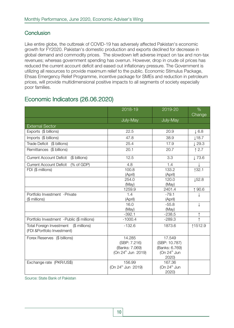### **Conclusion**

Like entire globe, the outbreak of COVID-19 has adversely affected Pakistan's economic growth for FY2020. Pakistan's domestic production and exports declined for decrease in global demand and commodity prices. The slowdown left adverse impact on tax and non-tax revenues; whereas government spending has overrun. However, drop in crude oil prices has reduced the current account deficit and eased out inflationary pressure. The Government is utilizing all resources to provide maximum relief to the public. Economic Stimulus Package, Ehsas Emergency Relief Programme, incentive package for SMEs and reduction in petroleum prices, will provide multidimensional positive impacts to all segments of society especially poor families.

# Economic Indicators (26.06.2020)

|                                                                | 2018-19                                                                    | 2019-20                                                                        | $\%$<br>Change    |
|----------------------------------------------------------------|----------------------------------------------------------------------------|--------------------------------------------------------------------------------|-------------------|
|                                                                | July-May                                                                   | July-May                                                                       |                   |
| <b>External Sector</b>                                         |                                                                            |                                                                                |                   |
| Exports (\$ billions)                                          | 22.5                                                                       | 20.9                                                                           | $\downarrow$ 6.8  |
| Imports (\$ billions)                                          | 47.8                                                                       | 38.9                                                                           | $\downarrow$ 18.7 |
| Trade Deficit (\$ billions)                                    | 25.4                                                                       | 17.9                                                                           | $\downarrow$ 29.3 |
| Remittances (\$ billions)                                      | 20.1                                                                       | 20.7                                                                           | $\uparrow$ 2.7    |
| (\$ billions)<br><b>Current Account Deficit</b>                | 12.5                                                                       | 3.3                                                                            | $\downarrow$ 73.6 |
| <b>Current Account Deficit</b><br>(% of GDP)                   | 4.8                                                                        | 1.4                                                                            |                   |
| FDI (\$ millions)                                              | 100.8<br>(April)                                                           | 133.2<br>(April)                                                               | ↑32.1             |
|                                                                | 254.0                                                                      | 120.0                                                                          | $\downarrow$ 52.8 |
|                                                                | (May)                                                                      | (May)                                                                          |                   |
|                                                                | 1259.9                                                                     | 2401.4                                                                         | ↑90.6             |
| Portfolio Investment - Private                                 | 1.4                                                                        | $-79.1$                                                                        |                   |
| (\$ millions)                                                  | (April)                                                                    | (April)                                                                        |                   |
|                                                                | 16.0                                                                       | $-55.8$                                                                        | $\downarrow$      |
|                                                                | (May)<br>$-392.1$                                                          | (May)                                                                          |                   |
| Portfolio Investment - Public (\$ millions)                    | $-1000.4$                                                                  | $-238.5$<br>$-289.3$                                                           |                   |
| (\$ millions)                                                  | $-132.6$                                                                   | 1873.6                                                                         |                   |
| <b>Total Foreign Investment</b><br>(FDI &Portfolio Investment) |                                                                            |                                                                                | ↑1512.9           |
| Forex Reserves (\$ billions)                                   | 14.285<br>(SBP: 7.216)<br>(Banks: 7.069)<br>(On 24 <sup>th</sup> Jun 2019) | 17.549<br>(SBP: 10.787)<br>(Banks: 6.769)<br>(On 24 <sup>th</sup> Jun<br>2020) |                   |
| Exchange rate (PKR/US\$)                                       | 156.99<br>(On 24 <sup>th</sup> Jun 2019)                                   | 167.36<br>(On 24 <sup>th</sup> Jun<br>2020)                                    |                   |

Source: State Bank of Pakistan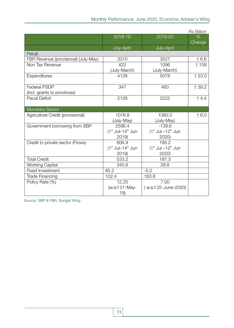|                                      |                                 |                        | <b>Rs Billion</b> |
|--------------------------------------|---------------------------------|------------------------|-------------------|
|                                      | 2018-19                         | 2019-20                | $\%$              |
|                                      |                                 |                        | Change            |
|                                      | July-April                      | July-April             |                   |
| <b>Fiscal</b>                        |                                 |                        |                   |
| FBR Revenue (provisional) (July-May) | 3310                            | 3527                   | $\uparrow$ 6.6    |
| Non Tax Revenue                      | 422                             | 1096                   | ↑ 159             |
|                                      | (July-March)                    | (July-March)           |                   |
| Expenditures                         | 4128                            | 5078                   | $\uparrow$ 23.0   |
|                                      |                                 |                        |                   |
| <b>Federal PSDP</b>                  | 347                             | 483                    | ↑ 39.2            |
| (incl. grants to provinces)          |                                 |                        |                   |
| <b>Fiscal Deficit</b>                | 2128                            | 2222                   | $\uparrow$ 4.4    |
|                                      |                                 |                        |                   |
| <b>Monetary Sector</b>               |                                 |                        |                   |
| Agriculture Credit (provisional)     | 1018.8                          | 1080.0                 | $\uparrow$ 6.0    |
|                                      | (July-May)                      | (July-May)             |                   |
| Government borrowing from SBP        | 2596.4                          | $-139.6$               |                   |
|                                      | $(1st$ Jul-14 <sup>th</sup> Jun | $(1st$ Jul $-12th$ Jun |                   |
|                                      | 2019)                           | 2020)                  |                   |
| Credit to private sector (Flows)     | 606.9                           | 195.2                  |                   |
|                                      | $(1st$ Jul-14 <sup>th</sup> Jun | $(1st$ Jul $-12th$ Jun |                   |
|                                      | 2019)                           | 2020)                  |                   |
| <b>Total Credit</b>                  | 533.2                           | 187.3                  |                   |
| <b>Working Capital</b>               | 345.6                           | 28.8                   |                   |
| <b>Fixed Investment</b>              | 85.2                            | $-5.2$                 |                   |
| <b>Trade Financing</b>               | 102.4                           | 163.8                  |                   |
| Policy Rate (%)                      | 12.25                           | 7.00                   |                   |
|                                      | (w.e.f 21-May-                  | (w.e.f 25-June-2020)   |                   |
|                                      | 19)                             |                        |                   |

Source: SBP & FBR, Budget Wing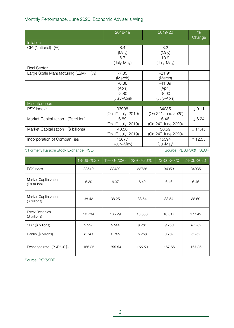#### Monthly Performance, June 2020, Economic Adviser's Wing

|                                               | 2018-19                        | 2019-20                         | %<br>Change        |
|-----------------------------------------------|--------------------------------|---------------------------------|--------------------|
| Inflation                                     |                                |                                 |                    |
| CPI (National) (%)                            | 8.4                            | 8.2                             |                    |
|                                               | (May)                          | (May)                           |                    |
|                                               | 6.7                            | 10.9                            |                    |
|                                               | (July-May)                     | (July-May)                      |                    |
| <b>Real Sector</b>                            |                                |                                 |                    |
| Large Scale Manufacturing (LSM)<br>(% )       | $-7.35$                        | $-21.91$                        |                    |
|                                               | (March)                        | (March)                         |                    |
|                                               | $-6.88$                        | $-41.89$                        |                    |
|                                               | (April)                        | (April)                         |                    |
|                                               | $-2.80$                        | $-8.90$                         |                    |
|                                               | (July-April)                   | (July-April)                    |                    |
| Miscellaneous                                 |                                |                                 |                    |
| PSX Index <sup>*</sup>                        | 33996                          | 34035                           | $\downarrow$ 0.11  |
|                                               | (On 1 <sup>st</sup> July 2019) | (On 24 <sup>th</sup> June 2020) |                    |
| <b>Market Capitalization</b><br>(Rs trillion) | 6.89                           | 6.46                            | $\downarrow$ 6.24  |
|                                               | (On 1 <sup>st</sup> July 2019) | (On 24 <sup>th</sup> June 2020) |                    |
| (\$ billions)<br><b>Market Capitalization</b> | 43.58                          | 38.59                           | $\downarrow$ 11.45 |
|                                               | (On 1 <sup>st</sup> July 2019) | (On 24 <sup>th</sup> June 2020) |                    |
| Incorporation of Compan ies                   | 13677                          | 15394                           | ↑ 12.55            |
|                                               | (July-May)                     | (Jul-May)                       |                    |

\*: Formerly Karachi Stock Exchange (KSE) Source: PBS,PSX& SECP

|                                        | 18-06-2020 | 19-06-2020 | 22-06-2020 | $\sqrt{23-06} - 2020$ | 24-06-2020 |
|----------------------------------------|------------|------------|------------|-----------------------|------------|
| <b>PSX Index</b>                       | 33540      | 33439      | 33738      | 34053                 | 34035      |
| Market Capitalization<br>(Rs trillion) | 6.39       | 6.37       | 6.42       | 6.46                  | 6.46       |
| Market Capitalization<br>(\$ billions) | 38.42      | 38.25      | 38.54      | 38.54                 | 38.59      |
| <b>Forex Reserves</b><br>(\$ billions) | 16.734     | 16.729     | 16.550     | 16.517                | 17.549     |
| SBP (\$ billions)                      | 9.993      | 9.960      | 9.781      | 9.756                 | 10.787     |
| Banks (\$ billions)                    | 6.741      | 6.769      | 6.769      | 6.761                 | 6.762      |
| Exchange rate (PKR/US\$)               | 166.35     | 166.64     | 166.59     | 167.66                | 167.36     |

Source: PSX&SBP